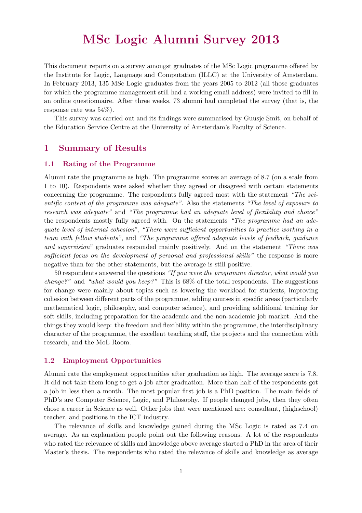## MSc Logic Alumni Survey 2013

This document reports on a survey amongst graduates of the MSc Logic programme offered by the Institute for Logic, Language and Computation (ILLC) at the University of Amsterdam. In February 2013, 135 MSc Logic graduates from the years 2005 to 2012 (all those graduates for which the programme management still had a working email address) were invited to fill in an online questionnaire. After three weeks, 73 alumni had completed the survey (that is, the response rate was 54%).

This survey was carried out and its findings were summarised by Guusje Smit, on behalf of the Education Service Centre at the University of Amsterdam's Faculty of Science.

#### 1 Summary of Results

#### 1.1 Rating of the Programme

Alumni rate the programme as high. The programme scores an average of 8.7 (on a scale from 1 to 10). Respondents were asked whether they agreed or disagreed with certain statements concerning the programme. The respondents fully agreed most with the statement "The scientific content of the programme was adequate". Also the statements "The level of exposure to research was adequate" and "The programme had an adequate level of flexibility and choice" the respondents mostly fully agreed with. On the statements "The programme had an adequate level of internal cohesion", "There were sufficient opportunities to practice working in a team with fellow students", and "The programme offered adequate levels of feedback, guidance and supervision" graduates responded mainly positively. And on the statement "There was sufficient focus on the development of personal and professional skills" the response is more negative than for the other statements, but the average is still positive.

50 respondents answered the questions "If you were the programme director, what would you *change?"* and "what would you keep?" This is  $68\%$  of the total respondents. The suggestions for change were mainly about topics such as lowering the workload for students, improving cohesion between different parts of the programme, adding courses in specific areas (particularly mathematical logic, philosophy, and computer science), and providing additional training for soft skills, including preparation for the academic and the non-academic job market. And the things they would keep: the freedom and flexibility within the programme, the interdisciplinary character of the programme, the excellent teaching staff, the projects and the connection with research, and the MoL Room.

#### 1.2 Employment Opportunities

Alumni rate the employment opportunities after graduation as high. The average score is 7.8. It did not take them long to get a job after graduation. More than half of the respondents got a job in less then a month. The most popular first job is a PhD position. The main fields of PhD's are Computer Science, Logic, and Philosophy. If people changed jobs, then they often chose a career in Science as well. Other jobs that were mentioned are: consultant, (highschool) teacher, and positions in the ICT industry.

The relevance of skills and knowledge gained during the MSc Logic is rated as 7.4 on average. As an explanation people point out the following reasons. A lot of the respondents who rated the relevance of skills and knowledge above average started a PhD in the area of their Master's thesis. The respondents who rated the relevance of skills and knowledge as average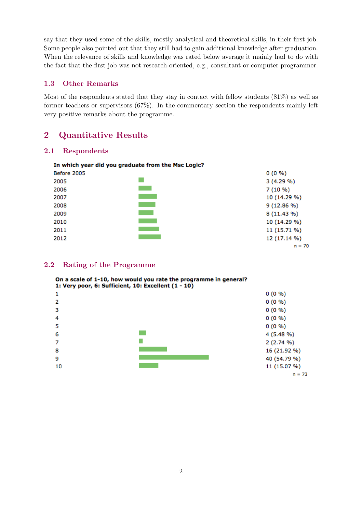say that they used some of the skills, mostly analytical and theoretical skills, in their first job. Some people also pointed out that they still had to gain additional knowledge after graduation. When the relevance of skills and knowledge was rated below average it mainly had to do with the fact that the first job was not research-oriented, e.g., consultant or computer programmer.

#### 1.3 Other Remarks

Most of the respondents stated that they stay in contact with fellow students (81%) as well as former teachers or supervisors (67%). In the commentary section the respondents mainly left very positive remarks about the programme.

#### 2 Quantitative Results

#### 2.1 Respondents

#### In which year did you graduate from the Msc Logic? Before 2005  $0(0\% )$  $\sim$ 2005 3 (4.29 %)  $\sim 10^{11}$ 2006 7 (10 %) 2007 10 (14.29 %)  $\mathcal{L}^{\text{max}}_{\text{max}}$ 2008 9 (12.86 %)  $\sim 10^{11}$ 2009 8 (11.43 %)  $\mathcal{L}^{\text{max}}_{\text{max}}$ 2010 10 (14.29 %)  $\mathcal{L}^{\text{max}}_{\text{max}}$ 2011 11 (15.71 %) **Contract Contract** 2012 12 (17.14 %)  $n = 70$

#### 2.2 Rating of the Programme

On a scale of 1-10, how would you rate the programme in general? 1: Very poor, 6: Sufficient, 10: Excellent (1 - 10) з 0 (0 %) 4  $0(0\% )$ 5  $0(0\% )$  $\sim$ 6 4 (5.48 %)  $\overline{7}$  $2(2.74\% )$ 8 16 (21.92 %) 9 40 (54.79 %) 10 11 (15.07 %)  $n = 73$ 

| $0(0\% )$ |
|-----------|
| $0(0\% )$ |
| 0.5000    |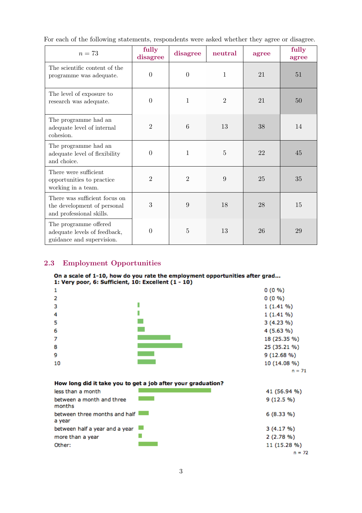For each of the following statements, respondents were asked whether they agree or disagree.

| $n=73$                                                                                   | fully<br>disagree | disagree       | neutral        | agree | fully<br>agree |
|------------------------------------------------------------------------------------------|-------------------|----------------|----------------|-------|----------------|
| The scientific content of the<br>programme was adequate.                                 | $\overline{0}$    | $\theta$       | 1              | 21    | 51             |
| The level of exposure to<br>research was adequate.                                       | $\theta$          | $\mathbf{1}$   | $\overline{2}$ | 21    | 50             |
| The programme had an<br>adequate level of internal<br>cohesion.                          | $\overline{2}$    | 6              | 13             | 38    | 14             |
| The programme had an<br>adequate level of flexibility<br>and choice.                     | $\theta$          | $\mathbf{1}$   | $\overline{5}$ | 22    | 45             |
| There were sufficient.<br>opportunities to practice<br>working in a team.                | $\overline{2}$    | $\overline{2}$ | 9              | 25    | 35             |
| There was sufficient focus on<br>the development of personal<br>and professional skills. | 3                 | 9              | 18             | 28    | 15             |
| The programme offered<br>adequate levels of feedback,<br>guidance and supervision.       | $\overline{0}$    | $\overline{5}$ | 13             | 26    | 29             |

### 2.3 Employment Opportunities

# On a scale of 1-10, how do you rate the employment opportunities after grad...<br>1: Very poor, 6: Sufficient, 10: Excellent  $(1 - 10)$

| 1                                                                                                               |                                                              | $0(0\% )$                                       |
|-----------------------------------------------------------------------------------------------------------------|--------------------------------------------------------------|-------------------------------------------------|
| 2                                                                                                               |                                                              | $0(0\% )$                                       |
| з                                                                                                               |                                                              | $1(1.41\%)$                                     |
| 4                                                                                                               |                                                              | $1(1.41\%)$                                     |
| 5                                                                                                               |                                                              | $3(4.23\%)$                                     |
| 6                                                                                                               |                                                              | 4 (5.63 %)                                      |
| 7                                                                                                               |                                                              | 18 (25.35 %)                                    |
| 8                                                                                                               |                                                              | 25 (35.21 %)                                    |
| 9                                                                                                               |                                                              | 9 (12.68 %)                                     |
| 10                                                                                                              |                                                              | 10 (14.08 %)                                    |
|                                                                                                                 |                                                              | $n = 71$                                        |
|                                                                                                                 | How long did it take you to get a job after your graduation? |                                                 |
| less than a month                                                                                               |                                                              | 41 (56.94 %)                                    |
| the contract of the contract of the contract of the contract of the contract of the contract of the contract of |                                                              | $\alpha$ <i>ii</i> $\alpha$ = $\alpha$ $\alpha$ |

| less than a month                       | 41 (50.94 %) |
|-----------------------------------------|--------------|
| between a month and three<br>months     | $9(12.5\%)$  |
| between three months and half<br>a year | $6(8.33\%)$  |
| between half a year and a year          | 3(4.17%)     |
| more than a year                        | 2(2.78%)     |
| Other:                                  | 11 (15.28 %) |
|                                         | $n = 72$     |